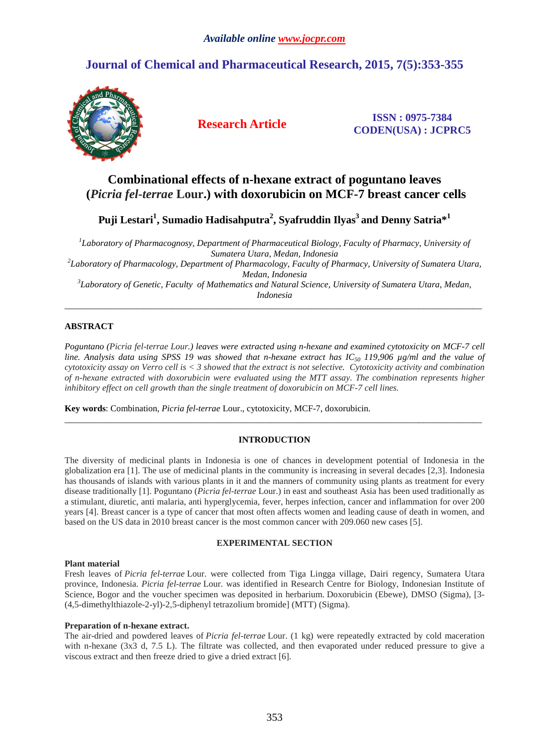# **Journal of Chemical and Pharmaceutical Research, 2015, 7(5):353-355**



**Research Article ISSN : 0975-7384 CODEN(USA) : JCPRC5**

## **Combinational effects of n-hexane extract of poguntano leaves (***Picria fel-terrae* **Lour.) with doxorubicin on MCF-7 breast cancer cells**

**Puji Lestari<sup>1</sup> , Sumadio Hadisahputra<sup>2</sup> , Syafruddin Ilyas<sup>3</sup>and Denny Satria\*<sup>1</sup>**

*1 Laboratory of Pharmacognosy, Department of Pharmaceutical Biology, Faculty of Pharmacy, University of Sumatera Utara, Medan, Indonesia 2 Laboratory of Pharmacology, Department of Pharmacology, Faculty of Pharmacy, University of Sumatera Utara, Medan, Indonesia 3 Laboratory of Genetic, Faculty of Mathematics and Natural Science, University of Sumatera Utara, Medan, Indonesia* 

\_\_\_\_\_\_\_\_\_\_\_\_\_\_\_\_\_\_\_\_\_\_\_\_\_\_\_\_\_\_\_\_\_\_\_\_\_\_\_\_\_\_\_\_\_\_\_\_\_\_\_\_\_\_\_\_\_\_\_\_\_\_\_\_\_\_\_\_\_\_\_\_\_\_\_\_\_\_\_\_\_\_\_\_\_\_\_\_\_\_\_\_\_

## **ABSTRACT**

*Poguntano (Picria fel-terrae Lour.) leaves were extracted using n-hexane and examined cytotoxicity on MCF-7 cell line. Analysis data using SPSS 19 was showed that n-hexane extract has IC*<sup>50</sup> 119,906  $\mu$ g/ml and the value of *cytotoxicity assay on Verro cell is < 3 showed that the extract is not selective. Cytotoxicity activity and combination of n-hexane extracted with doxorubicin were evaluated using the MTT assay. The combination represents higher inhibitory effect on cell growth than the single treatment of doxorubicin on MCF-7 cell lines.*

**Key words**: Combination, *Picria fel-terrae* Lour., cytotoxicity, MCF-7, doxorubicin.

## **INTRODUCTION**

\_\_\_\_\_\_\_\_\_\_\_\_\_\_\_\_\_\_\_\_\_\_\_\_\_\_\_\_\_\_\_\_\_\_\_\_\_\_\_\_\_\_\_\_\_\_\_\_\_\_\_\_\_\_\_\_\_\_\_\_\_\_\_\_\_\_\_\_\_\_\_\_\_\_\_\_\_\_\_\_\_\_\_\_\_\_\_\_\_\_\_\_\_

The diversity of medicinal plants in Indonesia is one of chances in development potential of Indonesia in the globalization era [1]. The use of medicinal plants in the community is increasing in several decades [2,3]. Indonesia has thousands of islands with various plants in it and the manners of community using plants as treatment for every disease traditionally [1]. Poguntano (*Picria fel-terrae* Lour.) in east and southeast Asia has been used traditionally as a stimulant, diuretic, anti malaria, anti hyperglycemia, fever, herpes infection, cancer and inflammation for over 200 years [4]. Breast cancer is a type of cancer that most often affects women and leading cause of death in women, and based on the US data in 2010 breast cancer is the most common cancer with 209.060 new cases [5].

## **EXPERIMENTAL SECTION**

#### **Plant material**

Fresh leaves of *Picria fel-terrae* Lour. were collected from Tiga Lingga village, Dairi regency, Sumatera Utara province, Indonesia. *Picria fel-terrae* Lour. was identified in Research Centre for Biology, Indonesian Institute of Science, Bogor and the voucher specimen was deposited in herbarium. Doxorubicin (Ebewe), DMSO (Sigma), [3- (4,5-dimethylthiazole-2-yl)-2,5-diphenyl tetrazolium bromide] (MTT) (Sigma).

#### **Preparation of n-hexane extract.**

The air-dried and powdered leaves of *Picria fel-terrae* Lour. (1 kg) were repeatedly extracted by cold maceration with n-hexane (3x3 d, 7.5 L). The filtrate was collected, and then evaporated under reduced pressure to give a viscous extract and then freeze dried to give a dried extract [6].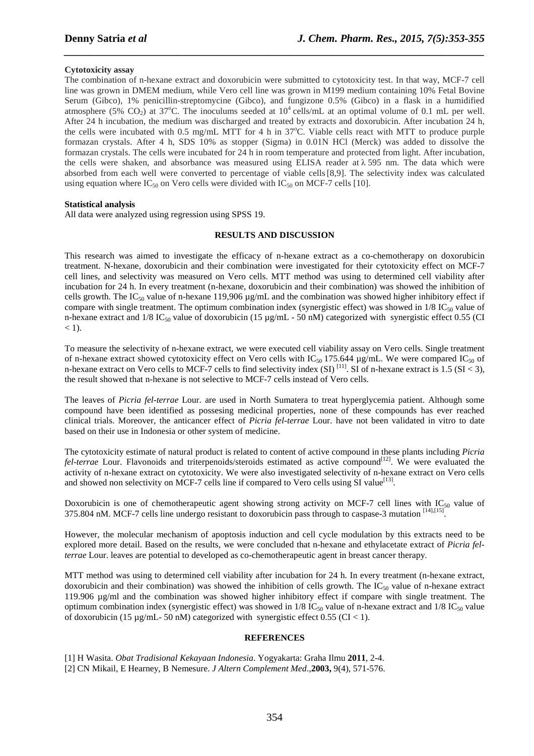#### **Cytotoxicity assay**

The combination of n-hexane extract and doxorubicin were submitted to cytotoxicity test. In that way, MCF-7 cell line was grown in DMEM medium, while Vero cell line was grown in M199 medium containing 10% Fetal Bovine Serum (Gibco), 1% penicillin-streptomycine (Gibco), and fungizone 0.5% (Gibco) in a flask in a humidified atmosphere (5% CO<sub>2</sub>) at 37<sup>o</sup>C. The inoculums seeded at  $10^4$  cells/mL at an optimal volume of 0.1 mL per well. After 24 h incubation, the medium was discharged and treated by extracts and doxorubicin. After incubation 24 h, the cells were incubated with 0.5 mg/mL MTT for 4 h in 37°C. Viable cells react with MTT to produce purple formazan crystals. After 4 h, SDS 10% as stopper (Sigma) in 0.01N HCl (Merck) was added to dissolve the formazan crystals. The cells were incubated for 24 h in room temperature and protected from light. After incubation, the cells were shaken, and absorbance was measured using ELISA reader at λ 595 nm. The data which were absorbed from each well were converted to percentage of viable cells[8,9]. The selectivity index was calculated using equation where IC<sub>50</sub> on Vero cells were divided with IC<sub>50</sub> on MCF-7 cells [10].

*\_\_\_\_\_\_\_\_\_\_\_\_\_\_\_\_\_\_\_\_\_\_\_\_\_\_\_\_\_\_\_\_\_\_\_\_\_\_\_\_\_\_\_\_\_\_\_\_\_\_\_\_\_\_\_\_\_\_\_\_\_\_\_\_\_\_\_\_\_\_\_\_\_\_\_\_\_\_*

#### **Statistical analysis**

All data were analyzed using regression using SPSS 19.

#### **RESULTS AND DISCUSSION**

This research was aimed to investigate the efficacy of n-hexane extract as a co-chemotherapy on doxorubicin treatment. N-hexane, doxorubicin and their combination were investigated for their cytotoxicity effect on MCF-7 cell lines, and selectivity was measured on Vero cells. MTT method was using to determined cell viability after incubation for 24 h. In every treatment (n-hexane, doxorubicin and their combination) was showed the inhibition of cells growth. The IC<sub>50</sub> value of n-hexane 119,906  $\mu$ g/mL and the combination was showed higher inhibitory effect if compare with single treatment. The optimum combination index (synergistic effect) was showed in  $1/8$  IC<sub>50</sub> value of n-hexane extract and  $1/8$  IC<sub>50</sub> value of doxorubicin (15  $\mu$ g/mL - 50 nM) categorized with synergistic effect 0.55 (CI  $<$  1).

To measure the selectivity of n-hexane extract, we were executed cell viability assay on Vero cells. Single treatment of n-hexane extract showed cytotoxicity effect on Vero cells with  $IC_{50}$  175.644  $\mu$ g/mL. We were compared  $IC_{50}$  of n-hexane extract on Vero cells to MCF-7 cells to find selectivity index  $(SI)^{[11]}$ . SI of n-hexane extract is 1.5 (SI < 3), the result showed that n-hexane is not selective to MCF-7 cells instead of Vero cells.

The leaves of *Picria fel-terrae* Lour. are used in North Sumatera to treat hyperglycemia patient. Although some compound have been identified as possesing medicinal properties, none of these compounds has ever reached clinical trials. Moreover, the anticancer effect of *Picria fel-terrae* Lour. have not been validated in vitro to date based on their use in Indonesia or other system of medicine.

The cytotoxicity estimate of natural product is related to content of active compound in these plants including *Picria fel-terrae* Lour. Flavonoids and triterpenoids/steroids estimated as active compound<sup>[12]</sup>. We were evaluated the activity of n-hexane extract on cytotoxicity. We were also investigated selectivity of n-hexane extract on Vero cells and showed non selectivity on MCF-7 cells line if compared to Vero cells using SI value<sup>[13]</sup>.

Doxorubicin is one of chemotherapeutic agent showing strong activity on MCF-7 cell lines with  $IC_{50}$  value of 375.804 nM. MCF-7 cells line undergo resistant to doxorubicin pass through to caspase-3 mutation [14],[15] .

However, the molecular mechanism of apoptosis induction and cell cycle modulation by this extracts need to be explored more detail. Based on the results, we were concluded that n-hexane and ethylacetate extract of *Picria felterrae* Lour. leaves are potential to developed as co-chemotherapeutic agent in breast cancer therapy.

MTT method was using to determined cell viability after incubation for 24 h. In every treatment (n-hexane extract, doxorubicin and their combination) was showed the inhibition of cells growth. The  $IC_{50}$  value of n-hexane extract 119.906 µg/ml and the combination was showed higher inhibitory effect if compare with single treatment. The optimum combination index (synergistic effect) was showed in  $1/8$  IC<sub>50</sub> value of n-hexane extract and  $1/8$  IC<sub>50</sub> value of doxorubicin (15 µg/mL- 50 nM) categorized with synergistic effect 0.55 (CI < 1).

#### **REFERENCES**

[1] H Wasita. *Obat Tradisional Kekayaan Indonesia*. Yogyakarta: Graha Ilmu **2011**, 2-4. [2] CN Mikail, E Hearney, B Nemesure. *J Altern Complement Med*.,**2003,** 9(4), 571-576.